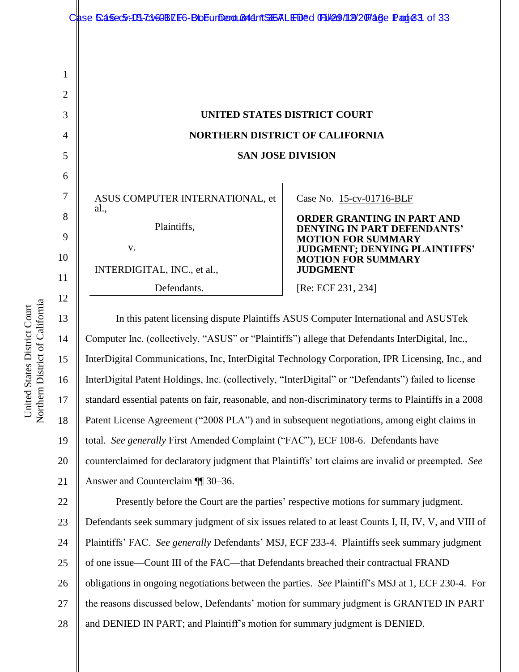|                | Case 6:a5ec5:103-7:108BLE6-BbEurDenduB44ntS36ALEDed 0F11299/1129/207486e Pange3. of 33 |                                                                 |
|----------------|----------------------------------------------------------------------------------------|-----------------------------------------------------------------|
|                |                                                                                        |                                                                 |
| 1              |                                                                                        |                                                                 |
| $\overline{2}$ |                                                                                        |                                                                 |
| 3              |                                                                                        | UNITED STATES DISTRICT COURT                                    |
| 4              |                                                                                        | <b>NORTHERN DISTRICT OF CALIFORNIA</b>                          |
| 5              | <b>SAN JOSE DIVISION</b>                                                               |                                                                 |
| 6              |                                                                                        |                                                                 |
| 7              | ASUS COMPUTER INTERNATIONAL, et                                                        | Case No. 15-cv-01716-BLF                                        |
| 8              | al.<br>Plaintiffs,                                                                     | <b>ORDER GRANTING IN PART AND</b>                               |
| 9              |                                                                                        | <b>DENYING IN PART DEFENDANTS'</b><br><b>MOTION FOR SUMMARY</b> |
| 10             | V.                                                                                     | JUDGMENT; DENYING PLAINTIFFS'<br><b>MOTION FOR SUMMARY</b>      |
| 11             | INTERDIGITAL, INC., et al.,                                                            | <b>JUDGMENT</b>                                                 |
| 12             | Defendants.                                                                            | [Re: ECF 231, 234]                                              |
|                |                                                                                        |                                                                 |

14 15 16 18 19 20 21 In this patent licensing dispute Plaintiffs ASUS Computer International and ASUSTek Computer Inc. (collectively, "ASUS" or "Plaintiffs") allege that Defendants InterDigital, Inc., InterDigital Communications, Inc, InterDigital Technology Corporation, IPR Licensing, Inc., and InterDigital Patent Holdings, Inc. (collectively, "InterDigital" or "Defendants") failed to license standard essential patents on fair, reasonable, and non-discriminatory terms to Plaintiffs in a 2008 Patent License Agreement ("2008 PLA") and in subsequent negotiations, among eight claims in total. *See generally* First Amended Complaint ("FAC"), ECF 108-6. Defendants have counterclaimed for declaratory judgment that Plaintiffs' tort claims are invalid or preempted. *See*  Answer and Counterclaim ¶¶ 30–36.

22 23 24 25 26 27 28 Presently before the Court are the parties' respective motions for summary judgment. Defendants seek summary judgment of six issues related to at least Counts I, II, IV, V, and VIII of Plaintiffs' FAC. *See generally* Defendants' MSJ, ECF 233-4. Plaintiffs seek summary judgment of one issue—Count III of the FAC—that Defendants breached their contractual FRAND obligations in ongoing negotiations between the parties. *See* Plaintiff's MSJ at 1, ECF 230-4. For the reasons discussed below, Defendants' motion for summary judgment is GRANTED IN PART and DENIED IN PART; and Plaintiff's motion for summary judgment is DENIED.

13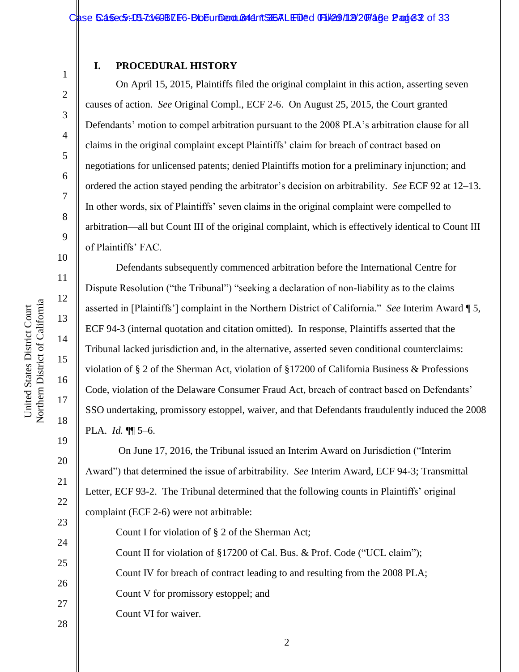#### **I. PROCEDURAL HISTORY**

On April 15, 2015, Plaintiffs filed the original complaint in this action, asserting seven causes of action. *See* Original Compl., ECF 2-6. On August 25, 2015, the Court granted Defendants' motion to compel arbitration pursuant to the 2008 PLA's arbitration clause for all claims in the original complaint except Plaintiffs' claim for breach of contract based on negotiations for unlicensed patents; denied Plaintiffs motion for a preliminary injunction; and ordered the action stayed pending the arbitrator's decision on arbitrability. *See* ECF 92 at 12–13. In other words, six of Plaintiffs' seven claims in the original complaint were compelled to arbitration—all but Count III of the original complaint, which is effectively identical to Count III of Plaintiffs' FAC.

Defendants subsequently commenced arbitration before the International Centre for Dispute Resolution ("the Tribunal") "seeking a declaration of non-liability as to the claims asserted in [Plaintiffs'] complaint in the Northern District of California." *See* Interim Award ¶ 5, ECF 94-3 (internal quotation and citation omitted). In response, Plaintiffs asserted that the Tribunal lacked jurisdiction and, in the alternative, asserted seven conditional counterclaims: violation of § 2 of the Sherman Act, violation of §17200 of California Business & Professions Code, violation of the Delaware Consumer Fraud Act, breach of contract based on Defendants' SSO undertaking, promissory estoppel, waiver, and that Defendants fraudulently induced the 2008 PLA. *Id.* ¶¶ 5–6.

On June 17, 2016, the Tribunal issued an Interim Award on Jurisdiction ("Interim Award") that determined the issue of arbitrability. *See* Interim Award, ECF 94-3; Transmittal Letter, ECF 93-2. The Tribunal determined that the following counts in Plaintiffs' original complaint (ECF 2-6) were not arbitrable:

23 24 25 26 27 28 Count I for violation of § 2 of the Sherman Act; Count II for violation of §17200 of Cal. Bus. & Prof. Code ("UCL claim"); Count IV for breach of contract leading to and resulting from the 2008 PLA; Count V for promissory estoppel; and Count VI for waiver.

1

2

3

4

5

6

7

8

9

10

11

12

13

14

15

16

17

18

19

20

21

22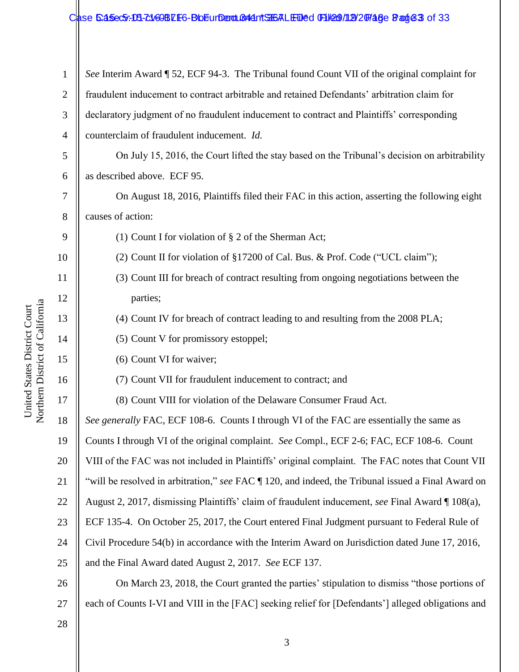#### Case 5:45ec5:13-c169BZF6-BbEurderouß 44 nt ST6ALEDed (F1/29/19/20746e Bage 3 of 33

1 2 3 4 *See* Interim Award ¶ 52, ECF 94-3. The Tribunal found Count VII of the original complaint for fraudulent inducement to contract arbitrable and retained Defendants' arbitration claim for declaratory judgment of no fraudulent inducement to contract and Plaintiffs' corresponding counterclaim of fraudulent inducement. *Id.*

5 6 On July 15, 2016, the Court lifted the stay based on the Tribunal's decision on arbitrability as described above. ECF 95.

On August 18, 2016, Plaintiffs filed their FAC in this action, asserting the following eight causes of action:

(1) Count I for violation of § 2 of the Sherman Act;

(2) Count II for violation of §17200 of Cal. Bus. & Prof. Code ("UCL claim");

- (3) Count III for breach of contract resulting from ongoing negotiations between the parties;
	- (4) Count IV for breach of contract leading to and resulting from the 2008 PLA;
	- (5) Count V for promissory estoppel;
	- (6) Count VI for waiver;
	- (7) Count VII for fraudulent inducement to contract; and

(8) Count VIII for violation of the Delaware Consumer Fraud Act.

18 19 20 21 22 23 24 25 *See generally* FAC, ECF 108-6. Counts I through VI of the FAC are essentially the same as Counts I through VI of the original complaint. *See* Compl., ECF 2-6; FAC, ECF 108-6. Count VIII of the FAC was not included in Plaintiffs' original complaint. The FAC notes that Count VII "will be resolved in arbitration," *see* FAC ¶ 120, and indeed, the Tribunal issued a Final Award on August 2, 2017, dismissing Plaintiffs' claim of fraudulent inducement, *see* Final Award ¶ 108(a), ECF 135-4. On October 25, 2017, the Court entered Final Judgment pursuant to Federal Rule of Civil Procedure 54(b) in accordance with the Interim Award on Jurisdiction dated June 17, 2016, and the Final Award dated August 2, 2017. *See* ECF 137.

26 27 On March 23, 2018, the Court granted the parties' stipulation to dismiss "those portions of each of Counts I-VI and VIII in the [FAC] seeking relief for [Defendants'] alleged obligations and

28

7

8

9

10

11

12

13

14

15

16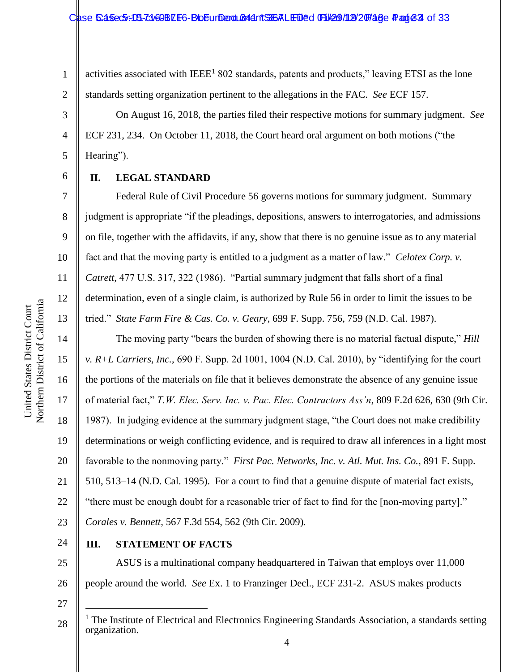1 2 activities associated with  $IEEE<sup>1</sup> 802$  standards, patents and products," leaving ETSI as the lone standards setting organization pertinent to the allegations in the FAC. *See* ECF 157.

On August 16, 2018, the parties filed their respective motions for summary judgment. *See* ECF 231, 234. On October 11, 2018, the Court heard oral argument on both motions ("the Hearing").

#### **II. LEGAL STANDARD**

Federal Rule of Civil Procedure 56 governs motions for summary judgment. Summary judgment is appropriate "if the pleadings, depositions, answers to interrogatories, and admissions on file, together with the affidavits, if any, show that there is no genuine issue as to any material fact and that the moving party is entitled to a judgment as a matter of law." *Celotex Corp. v. Catrett*, 477 U.S. 317, 322 (1986). "Partial summary judgment that falls short of a final determination, even of a single claim, is authorized by Rule 56 in order to limit the issues to be tried." *State Farm Fire & Cas. Co. v. Geary*, 699 F. Supp. 756, 759 (N.D. Cal. 1987).

The moving party "bears the burden of showing there is no material factual dispute," *Hill v. R+L Carriers, Inc.*, 690 F. Supp. 2d 1001, 1004 (N.D. Cal. 2010), by "identifying for the court the portions of the materials on file that it believes demonstrate the absence of any genuine issue of material fact," *T.W. Elec. Serv. Inc. v. Pac. Elec. Contractors Ass'n*, 809 F.2d 626, 630 (9th Cir. 1987). In judging evidence at the summary judgment stage, "the Court does not make credibility determinations or weigh conflicting evidence, and is required to draw all inferences in a light most favorable to the nonmoving party." *First Pac. Networks, Inc. v. Atl. Mut. Ins. Co.*, 891 F. Supp. 510, 513–14 (N.D. Cal. 1995). For a court to find that a genuine dispute of material fact exists, "there must be enough doubt for a reasonable trier of fact to find for the [non-moving party]." *Corales v. Bennett,* 567 F.3d 554, 562 (9th Cir. 2009).

24

25

23

## **III. STATEMENT OF FACTS**

26 ASUS is a multinational company headquartered in Taiwan that employs over 11,000 people around the world. *See* Ex. 1 to Franzinger Decl., ECF 231-2. ASUS makes products

27

 $\overline{a}$ 

28

3

4

5

6

7

8

9

10

11

12

13

14

15

16

17

18

19

20

21

 $<sup>1</sup>$  The Institute of Electrical and Electronics Engineering Standards Association, a standards setting</sup> organization.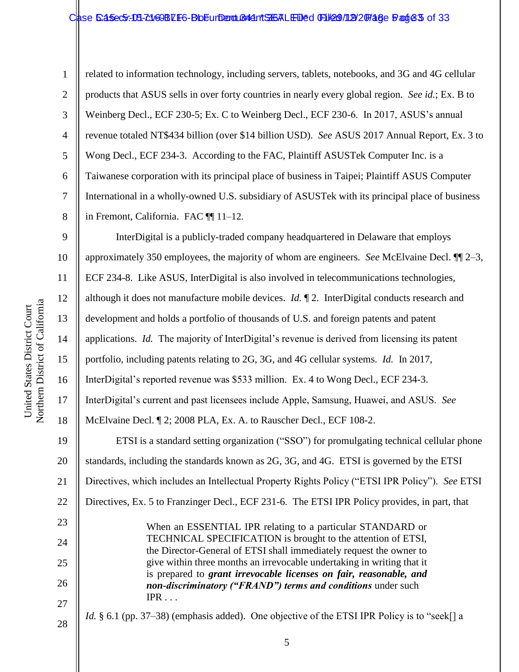#### Case 5:45ec5:131-c1/69BZE6-BbEurdent CartSEALED'ed GH299/12/20748e 5:ang 83 of 33

1 2 3 4 5 6 7 8 related to information technology, including servers, tablets, notebooks, and 3G and 4G cellular products that ASUS sells in over forty countries in nearly every global region. *See id.*; Ex. B to Weinberg Decl., ECF 230-5; Ex. C to Weinberg Decl., ECF 230-6. In 2017, ASUS's annual revenue totaled NT\$434 billion (over \$14 billion USD). *See* ASUS 2017 Annual Report, Ex. 3 to Wong Decl., ECF 234-3. According to the FAC, Plaintiff ASUSTek Computer Inc. is a Taiwanese corporation with its principal place of business in Taipei; Plaintiff ASUS Computer International in a wholly-owned U.S. subsidiary of ASUSTek with its principal place of business in Fremont, California. FAC ¶¶ 11–12.

9 10 11 12 13 14 15 16 17 18 19 20 21 22 23 24 25 26 27 28 InterDigital is a publicly-traded company headquartered in Delaware that employs approximately 350 employees, the majority of whom are engineers. *See* McElvaine Decl. ¶¶ 2–3, ECF 234-8. Like ASUS, InterDigital is also involved in telecommunications technologies, although it does not manufacture mobile devices. *Id.* ¶ 2. InterDigital conducts research and development and holds a portfolio of thousands of U.S. and foreign patents and patent applications. *Id.* The majority of InterDigital's revenue is derived from licensing its patent portfolio, including patents relating to 2G, 3G, and 4G cellular systems. *Id.* In 2017, InterDigital's reported revenue was \$533 million. Ex. 4 to Wong Decl., ECF 234-3. InterDigital's current and past licensees include Apple, Samsung, Huawei, and ASUS. *See* McElvaine Decl. ¶ 2; 2008 PLA, Ex. A. to Rauscher Decl., ECF 108-2. ETSI is a standard setting organization ("SSO") for promulgating technical cellular phone standards, including the standards known as 2G, 3G, and 4G. ETSI is governed by the ETSI Directives, which includes an Intellectual Property Rights Policy ("ETSI IPR Policy"). *See* ETSI Directives, Ex. 5 to Franzinger Decl., ECF 231-6. The ETSI IPR Policy provides, in part, that When an ESSENTIAL IPR relating to a particular STANDARD or TECHNICAL SPECIFICATION is brought to the attention of ETSI, the Director-General of ETSI shall immediately request the owner to give within three months an irrevocable undertaking in writing that it is prepared to *grant irrevocable licenses on fair, reasonable, and non-discriminatory ("FRAND") terms and conditions* under such  $IPR \ldots$ *Id.* § 6.1 (pp. 37–38) (emphasis added). One objective of the ETSI IPR Policy is to "seek[] a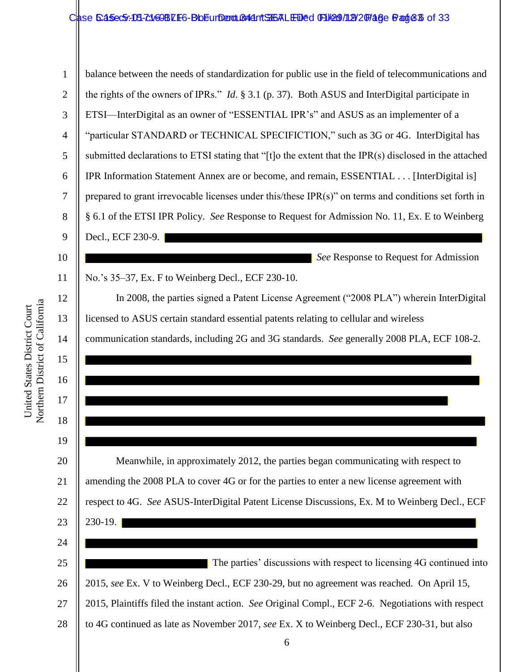#### Case 5:45ec5:15-7:169BLF6-BbEurDent Briefs RLF Ded GH29/12/20748e Bage 36 of 33

1 2 3 4 5 6 7 8 9 10 11 12 13 14 15 16 17 18 19 20 21 22 23 24 25 26 27 28 balance between the needs of standardization for public use in the field of telecommunications and the rights of the owners of IPRs." *Id*. § 3.1 (p. 37). Both ASUS and InterDigital participate in ETSI—InterDigital as an owner of "ESSENTIAL IPR's" and ASUS as an implementer of a "particular STANDARD or TECHNICAL SPECIFICTION," such as 3G or 4G. InterDigital has submitted declarations to ETSI stating that "[t]o the extent that the IPR(s) disclosed in the attached IPR Information Statement Annex are or become, and remain, ESSENTIAL . . . [InterDigital is] prepared to grant irrevocable licenses under this/these IPR(s)" on terms and conditions set forth in § 6.1 of the ETSI IPR Policy. *See* Response to Request for Admission No. 11, Ex. E to Weinberg Decl., ECF 230-9. *See* Response to Request for Admission No.'s 35–37, Ex. F to Weinberg Decl., ECF 230-10. In 2008, the parties signed a Patent License Agreement ("2008 PLA") wherein InterDigital licensed to ASUS certain standard essential patents relating to cellular and wireless communication standards, including 2G and 3G standards. *See* generally 2008 PLA, ECF 108-2.  $\overline{\phantom{a}}$ Meanwhile, in approximately 2012, the parties began communicating with respect to amending the 2008 PLA to cover 4G or for the parties to enter a new license agreement with respect to 4G. *See* ASUS-InterDigital Patent License Discussions, Ex. M to Weinberg Decl., ECF 230-19. The parties' discussions with respect to licensing 4G continued into 2015, *see* Ex. V to Weinberg Decl., ECF 230-29, but no agreement was reached. On April 15, 2015, Plaintiffs filed the instant action. *See* Original Compl., ECF 2-6. Negotiations with respect to 4G continued as late as November 2017, *see* Ex. X to Weinberg Decl., ECF 230-31, but also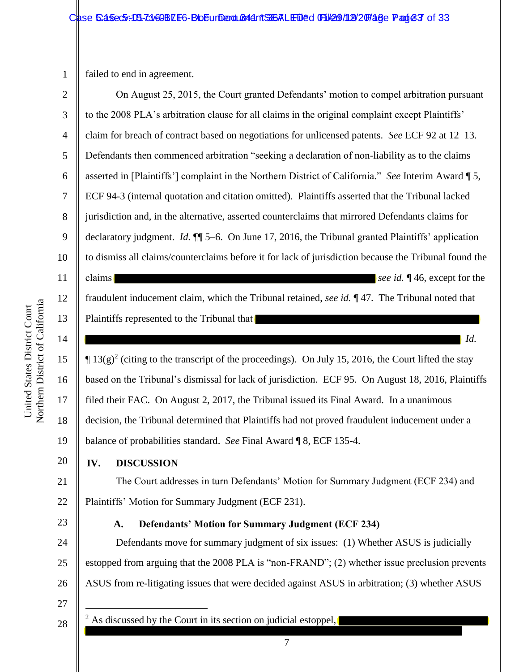1 failed to end in agreement.

7 2 3 4 5 6 7 8 9 10 11 12 13 14 15 16 17 18 19 20 21 22 23 24 25 26 27 28 On August 25, 2015, the Court granted Defendants' motion to compel arbitration pursuant to the 2008 PLA's arbitration clause for all claims in the original complaint except Plaintiffs' claim for breach of contract based on negotiations for unlicensed patents. *See* ECF 92 at 12–13. Defendants then commenced arbitration "seeking a declaration of non-liability as to the claims asserted in [Plaintiffs'] complaint in the Northern District of California." *See* Interim Award ¶ 5, ECF 94-3 (internal quotation and citation omitted). Plaintiffs asserted that the Tribunal lacked jurisdiction and, in the alternative, asserted counterclaims that mirrored Defendants claims for declaratory judgment. *Id.* ¶¶ 5–6. On June 17, 2016, the Tribunal granted Plaintiffs' application to dismiss all claims/counterclaims before it for lack of jurisdiction because the Tribunal found the claims **see id. f** 46, except for the fraudulent inducement claim, which the Tribunal retained, *see id.* ¶ 47. The Tribunal noted that Plaintiffs represented to the Tribunal that *Id.*  $\P$  13(g)<sup>2</sup> (citing to the transcript of the proceedings). On July 15, 2016, the Court lifted the stay based on the Tribunal's dismissal for lack of jurisdiction. ECF 95. On August 18, 2016, Plaintiffs filed their FAC. On August 2, 2017, the Tribunal issued its Final Award. In a unanimous decision, the Tribunal determined that Plaintiffs had not proved fraudulent inducement under a balance of probabilities standard. *See* Final Award ¶ 8, ECF 135-4. **IV. DISCUSSION** The Court addresses in turn Defendants' Motion for Summary Judgment (ECF 234) and Plaintiffs' Motion for Summary Judgment (ECF 231). **A. Defendants' Motion for Summary Judgment (ECF 234)** Defendants move for summary judgment of six issues: (1) Whether ASUS is judicially estopped from arguing that the 2008 PLA is "non-FRAND"; (2) whether issue preclusion prevents ASUS from re-litigating issues that were decided against ASUS in arbitration; (3) whether ASUS  $\overline{a}$ <sup>2</sup> As discussed by the Court in its section on judicial estoppel,  $\overline{\phantom{a}}$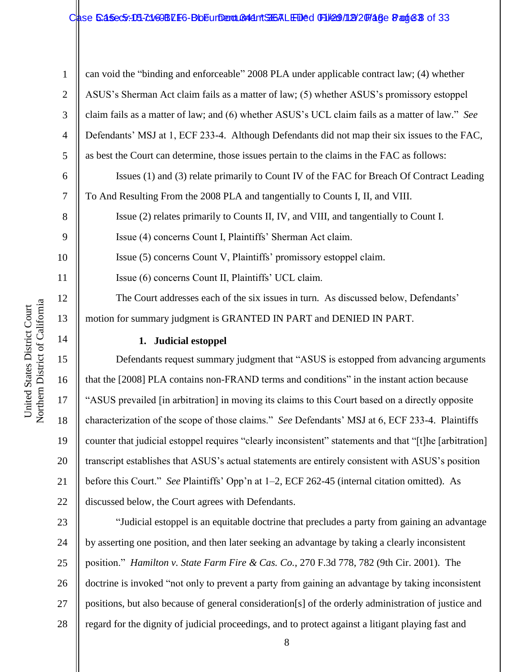## Case 5:45ec5:15-7:169BLF6-BbEurDent B44nt SH6ALEDed File 9/112/20748e Page 8 of 33

1 2 3 4 5 6 7 8 9 10 11 12 13 can void the "binding and enforceable" 2008 PLA under applicable contract law; (4) whether ASUS's Sherman Act claim fails as a matter of law; (5) whether ASUS's promissory estoppel claim fails as a matter of law; and (6) whether ASUS's UCL claim fails as a matter of law." *See* Defendants' MSJ at 1, ECF 233-4. Although Defendants did not map their six issues to the FAC, as best the Court can determine, those issues pertain to the claims in the FAC as follows: Issues (1) and (3) relate primarily to Count IV of the FAC for Breach Of Contract Leading To And Resulting From the 2008 PLA and tangentially to Counts I, II, and VIII. Issue (2) relates primarily to Counts II, IV, and VIII, and tangentially to Count I. Issue (4) concerns Count I, Plaintiffs' Sherman Act claim. Issue (5) concerns Count V, Plaintiffs' promissory estoppel claim. Issue (6) concerns Count II, Plaintiffs' UCL claim. The Court addresses each of the six issues in turn. As discussed below, Defendants' motion for summary judgment is GRANTED IN PART and DENIED IN PART.

## **1. Judicial estoppel**

Defendants request summary judgment that "ASUS is estopped from advancing arguments that the [2008] PLA contains non-FRAND terms and conditions" in the instant action because "ASUS prevailed [in arbitration] in moving its claims to this Court based on a directly opposite characterization of the scope of those claims." *See* Defendants' MSJ at 6, ECF 233-4. Plaintiffs counter that judicial estoppel requires "clearly inconsistent" statements and that "[t]he [arbitration] transcript establishes that ASUS's actual statements are entirely consistent with ASUS's position before this Court." *See* Plaintiffs' Opp'n at 1–2, ECF 262-45 (internal citation omitted). As discussed below, the Court agrees with Defendants.

23 24 25 26 27 28 "Judicial estoppel is an equitable doctrine that precludes a party from gaining an advantage by asserting one position, and then later seeking an advantage by taking a clearly inconsistent position." *Hamilton v. State Farm Fire & Cas. Co.*, 270 F.3d 778, 782 (9th Cir. 2001). The doctrine is invoked "not only to prevent a party from gaining an advantage by taking inconsistent positions, but also because of general consideration[s] of the orderly administration of justice and regard for the dignity of judicial proceedings, and to protect against a litigant playing fast and

14

15

16

17

18

19

20

21

22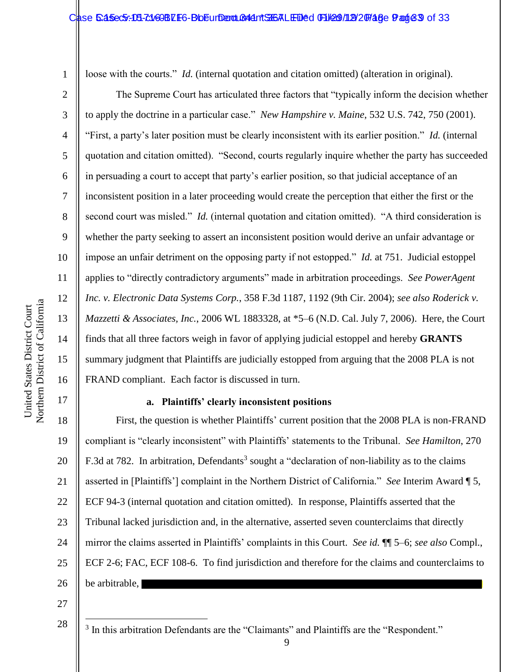loose with the courts." *Id.* (internal quotation and citation omitted) (alteration in original).

16 The Supreme Court has articulated three factors that "typically inform the decision whether to apply the doctrine in a particular case." *New Hampshire v. Maine*, 532 U.S. 742, 750 (2001). "First, a party's later position must be clearly inconsistent with its earlier position." *Id.* (internal quotation and citation omitted). "Second, courts regularly inquire whether the party has succeeded in persuading a court to accept that party's earlier position, so that judicial acceptance of an inconsistent position in a later proceeding would create the perception that either the first or the second court was misled." *Id.* (internal quotation and citation omitted). "A third consideration is whether the party seeking to assert an inconsistent position would derive an unfair advantage or impose an unfair detriment on the opposing party if not estopped." *Id.* at 751. Judicial estoppel applies to "directly contradictory arguments" made in arbitration proceedings. *See PowerAgent Inc. v. Electronic Data Systems Corp.*, 358 F.3d 1187, 1192 (9th Cir. 2004); *see also Roderick v. Mazzetti & Associates, Inc.*, 2006 WL 1883328, at \*5–6 (N.D. Cal. July 7, 2006). Here, the Court finds that all three factors weigh in favor of applying judicial estoppel and hereby **GRANTS** summary judgment that Plaintiffs are judicially estopped from arguing that the 2008 PLA is not FRAND compliant. Each factor is discussed in turn.

## **a. Plaintiffs' clearly inconsistent positions**

18 19 20 21 22 23 24 25 26 First, the question is whether Plaintiffs' current position that the 2008 PLA is non-FRAND compliant is "clearly inconsistent" with Plaintiffs' statements to the Tribunal. *See Hamilton*, 270 F.3d at 782. In arbitration, Defendants<sup>3</sup> sought a "declaration of non-liability as to the claims asserted in [Plaintiffs'] complaint in the Northern District of California." *See* Interim Award ¶ 5, ECF 94-3 (internal quotation and citation omitted). In response, Plaintiffs asserted that the Tribunal lacked jurisdiction and, in the alternative, asserted seven counterclaims that directly mirror the claims asserted in Plaintiffs' complaints in this Court. *See id.* ¶¶ 5–6; *see also* Compl., ECF 2-6; FAC, ECF 108-6. To find jurisdiction and therefore for the claims and counterclaims to be arbitrable,

27

28

 $\overline{a}$ 

1

2

3

4

5

6

7

8

9

10

11

12

13

14

15

<sup>&</sup>lt;sup>3</sup> In this arbitration Defendants are the "Claimants" and Plaintiffs are the "Respondent."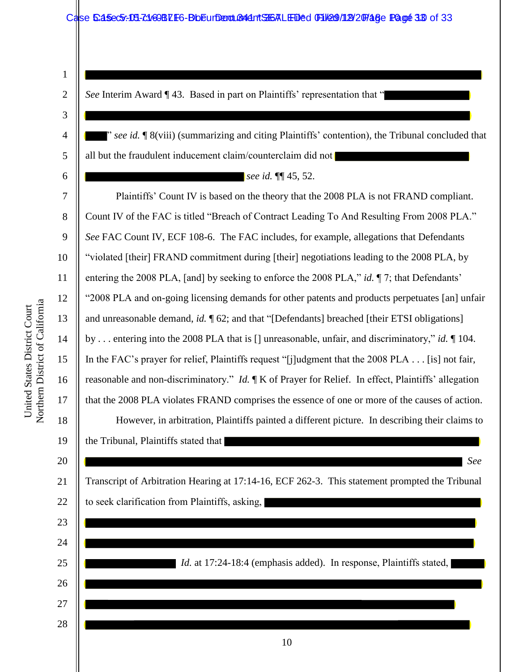## Case 5:45ec5:18-71469BLF6-BbEurDent Bridgent STGALED&d FFILe09/1129/20748 Ge FRage 313 of 33

1 2

3

4

5

6

7

8

9

10

11

12

13

14

15

16

17

18

19

20

26

27

28

*See* Interim Award ¶ 43. Based in part on Plaintiffs' representation that "

" *see id.* ¶ 8(viii) (summarizing and citing Plaintiffs' contention), the Tribunal concluded that all but the fraudulent inducement claim/counterclaim did not

 $\overline{\phantom{a}}$ 

 $\overline{\phantom{0}}$ 

*see id.* ¶¶ 45, 52.

Plaintiffs' Count IV is based on the theory that the 2008 PLA is not FRAND compliant. Count IV of the FAC is titled "Breach of Contract Leading To And Resulting From 2008 PLA." *See* FAC Count IV, ECF 108-6. The FAC includes, for example, allegations that Defendants "violated [their] FRAND commitment during [their] negotiations leading to the 2008 PLA, by entering the 2008 PLA, [and] by seeking to enforce the 2008 PLA," *id.* ¶ 7; that Defendants' "2008 PLA and on-going licensing demands for other patents and products perpetuates [an] unfair and unreasonable demand, *id.* ¶ 62; and that "[Defendants] breached [their ETSI obligations] by . . . entering into the 2008 PLA that is [] unreasonable, unfair, and discriminatory," *id.* ¶ 104. In the FAC's prayer for relief, Plaintiffs request "[j]udgment that the 2008 PLA . . . [is] not fair, reasonable and non-discriminatory." *Id.* ¶ K of Prayer for Relief. In effect, Plaintiffs' allegation that the 2008 PLA violates FRAND comprises the essence of one or more of the causes of action. However, in arbitration, Plaintiffs painted a different picture. In describing their claims to the Tribunal, Plaintiffs stated that *See*

21 22 23 24 25 Transcript of Arbitration Hearing at 17:14-16, ECF 262-3. This statement prompted the Tribunal to seek clarification from Plaintiffs, asking, *Id.* at 17:24-18:4 (emphasis added). In response, Plaintiffs stated,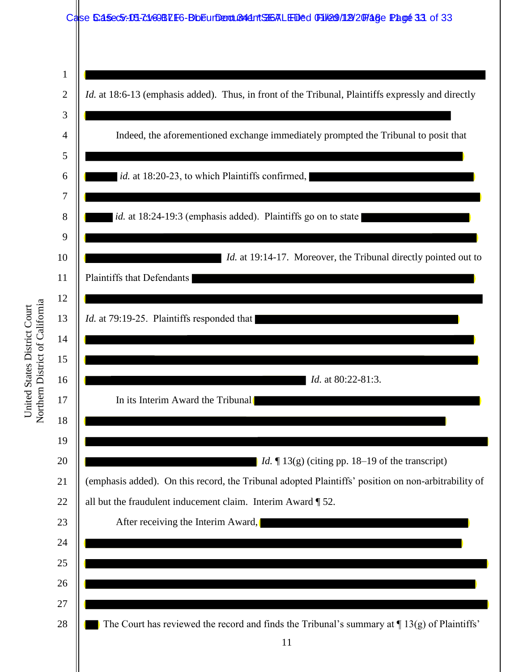

Northern District of California Northern District of California United States District Court United States District Court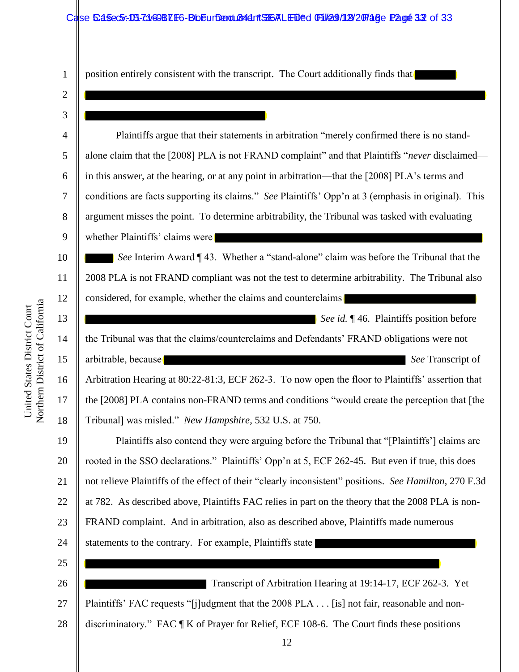position entirely consistent with the transcript. The Court additionally finds that

12 3 4 5 6 7 8 9 10 11 12 13 14 15 16 17 18 19 20 21 22 23 24 25 26 27 28 Plaintiffs argue that their statements in arbitration "merely confirmed there is no standalone claim that the [2008] PLA is not FRAND complaint" and that Plaintiffs "*never* disclaimed in this answer, at the hearing, or at any point in arbitration—that the [2008] PLA's terms and conditions are facts supporting its claims." *See* Plaintiffs' Opp'n at 3 (emphasis in original). This argument misses the point. To determine arbitrability, the Tribunal was tasked with evaluating whether Plaintiffs' claims were **See** Interim Award  $\P$  43. Whether a "stand-alone" claim was before the Tribunal that the 2008 PLA is not FRAND compliant was not the test to determine arbitrability. The Tribunal also considered, for example, whether the claims and counterclaims *See id.* ¶ 46. Plaintiffs position before the Tribunal was that the claims/counterclaims and Defendants' FRAND obligations were not arbitrable, because **See Transcript of** See Transcript of Arbitration Hearing at 80:22-81:3, ECF 262-3. To now open the floor to Plaintiffs' assertion that the [2008] PLA contains non-FRAND terms and conditions "would create the perception that [the Tribunal] was misled." *New Hampshire*, 532 U.S. at 750. Plaintiffs also contend they were arguing before the Tribunal that "[Plaintiffs'] claims are rooted in the SSO declarations." Plaintiffs' Opp'n at 5, ECF 262-45. But even if true, this does not relieve Plaintiffs of the effect of their "clearly inconsistent" positions. *See Hamilton*, 270 F.3d at 782. As described above, Plaintiffs FAC relies in part on the theory that the 2008 PLA is non-FRAND complaint. And in arbitration, also as described above, Plaintiffs made numerous statements to the contrary. For example, Plaintiffs state Transcript of Arbitration Hearing at 19:14-17, ECF 262-3. Yet Plaintiffs' FAC requests "[j]udgment that the 2008 PLA . . . [is] not fair, reasonable and nondiscriminatory." FAC ¶ K of Prayer for Relief, ECF 108-6. The Court finds these positions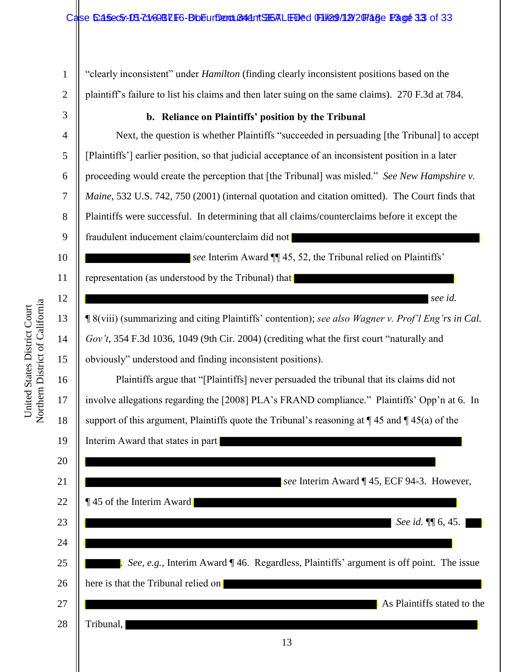M 1 2 3 4 5 6 7 8 9 10 11 12 13 14 15 16 17 18 19 20 21 22 23 24 25 26 27 28 "clearly inconsistent" under *Hamilton* (finding clearly inconsistent positions based on the plaintiff's failure to list his claims and then later suing on the same claims). 270 F.3d at 784. **b. Reliance on Plaintiffs' position by the Tribunal**  Next, the question is whether Plaintiffs "succeeded in persuading [the Tribunal] to accept [Plaintiffs'] earlier position, so that judicial acceptance of an inconsistent position in a later proceeding would create the perception that [the Tribunal] was misled." *See New Hampshire v. Maine*, 532 U.S. 742, 750 (2001) (internal quotation and citation omitted). The Court finds that Plaintiffs were successful. In determining that all claims/counterclaims before it except the fraudulent inducement claim/counterclaim did not *see* Interim Award ¶ 45, 52, the Tribunal relied on Plaintiffs' representation (as understood by the Tribunal) that *see id.* ¶ 8(viii) (summarizing and citing Plaintiffs' contention); *see also Wagner v. Prof'l Eng'rs in Cal. Gov't*, 354 F.3d 1036, 1049 (9th Cir. 2004) (crediting what the first court "naturally and obviously" understood and finding inconsistent positions). Plaintiffs argue that "[Plaintiffs] never persuaded the tribunal that its claims did not involve allegations regarding the [2008] PLA's FRAND compliance." Plaintiffs' Opp'n at 6. In support of this argument, Plaintiffs quote the Tribunal's reasoning at  $\P$  45 and  $\P$  45(a) of the Interim Award that states in part *see* Interim Award ¶ 45, ECF 94-3. However, ¶ 45 of the Interim Award *See id.* **[1]** 6, 45. . *See, e.g.*, Interim Award ¶ 46. Regardless, Plaintiffs' argument is off point. The issue here is that the Tribunal relied on As Plaintiffs stated to the Tribunal,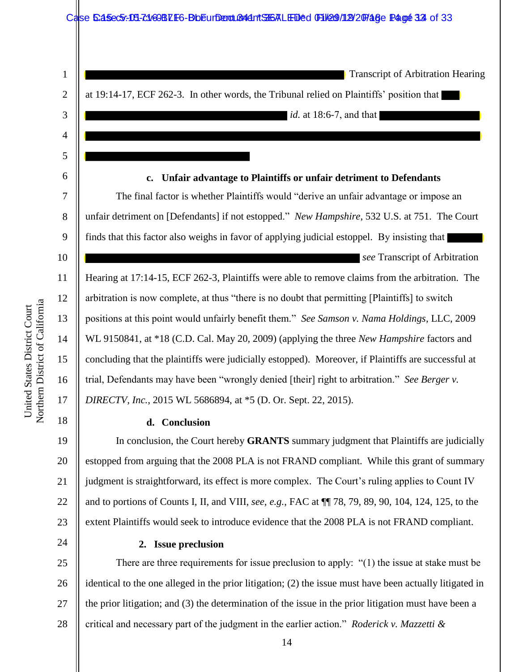|                | Case 6:45ec5:-08-21/69BZE6-BbEurDend.Cond.TSGALEDed TH29/12/20748e Page 33 of 33                        |  |
|----------------|---------------------------------------------------------------------------------------------------------|--|
|                |                                                                                                         |  |
|                |                                                                                                         |  |
| $\mathbf{1}$   | <b>Transcript of Arbitration Hearing</b>                                                                |  |
| $\overline{2}$ | at 19:14-17, ECF 262-3. In other words, the Tribunal relied on Plaintiffs' position that                |  |
| 3              | <i>id.</i> at 18:6-7, and that                                                                          |  |
| 4              |                                                                                                         |  |
| 5              |                                                                                                         |  |
| 6              | Unfair advantage to Plaintiffs or unfair detriment to Defendants<br>$c_{\bullet}$                       |  |
| 7              | The final factor is whether Plaintiffs would "derive an unfair advantage or impose an                   |  |
| 8              | unfair detriment on [Defendants] if not estopped." New Hampshire, 532 U.S. at 751. The Court            |  |
| 9              | finds that this factor also weighs in favor of applying judicial estoppel. By insisting that            |  |
| 10             | see Transcript of Arbitration                                                                           |  |
| 11             | Hearing at 17:14-15, ECF 262-3, Plaintiffs were able to remove claims from the arbitration. The         |  |
| 12             | arbitration is now complete, at thus "there is no doubt that permitting [Plaintiffs] to switch          |  |
| 13             | positions at this point would unfairly benefit them." See Samson v. Nama Holdings, LLC, 2009            |  |
| 14             | WL 9150841, at *18 (C.D. Cal. May 20, 2009) (applying the three New Hampshire factors and               |  |
| 15             | concluding that the plaintiffs were judicially estopped). Moreover, if Plaintiffs are successful at     |  |
| 16             | trial, Defendants may have been "wrongly denied [their] right to arbitration." See Berger v.            |  |
| 17             | DIRECTV, Inc., 2015 WL 5686894, at *5 (D. Or. Sept. 22, 2015).                                          |  |
| 18             | d. Conclusion                                                                                           |  |
| 19             | In conclusion, the Court hereby <b>GRANTS</b> summary judgment that Plaintiffs are judicially           |  |
| 20             | estopped from arguing that the 2008 PLA is not FRAND compliant. While this grant of summary             |  |
| 21             | judgment is straightforward, its effect is more complex. The Court's ruling applies to Count IV         |  |
| 22             | and to portions of Counts I, II, and VIII, see, e.g., FAC at $\P$ 78, 79, 89, 90, 104, 124, 125, to the |  |
| 23             | extent Plaintiffs would seek to introduce evidence that the 2008 PLA is not FRAND compliant.            |  |
| 24             | 2. Issue preclusion                                                                                     |  |
| 25             | There are three requirements for issue preclusion to apply: $\degree(1)$ the issue at stake must be     |  |
|                |                                                                                                         |  |

Northern District of California Northern District of California United States District Court United States District Court

28

26

27

identical to the one alleged in the prior litigation; (2) the issue must have been actually litigated in

the prior litigation; and (3) the determination of the issue in the prior litigation must have been a

critical and necessary part of the judgment in the earlier action." *Roderick v. Mazzetti &*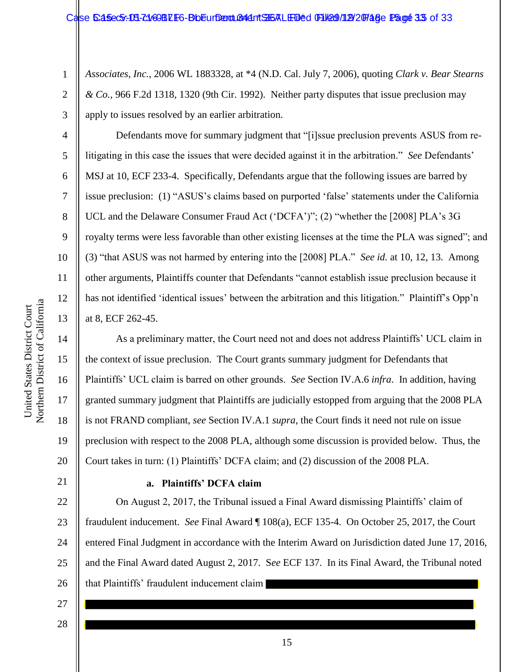*Associates, Inc.*, 2006 WL 1883328, at \*4 (N.D. Cal. July 7, 2006), quoting *Clark v. Bear Stearns & Co.*, 966 F.2d 1318, 1320 (9th Cir. 1992). Neither party disputes that issue preclusion may apply to issues resolved by an earlier arbitration.

Defendants move for summary judgment that "[i]ssue preclusion prevents ASUS from relitigating in this case the issues that were decided against it in the arbitration." *See* Defendants' MSJ at 10, ECF 233-4. Specifically, Defendants argue that the following issues are barred by issue preclusion: (1) "ASUS's claims based on purported 'false' statements under the California UCL and the Delaware Consumer Fraud Act ('DCFA')"; (2) "whether the [2008] PLA's 3G royalty terms were less favorable than other existing licenses at the time the PLA was signed"; and (3) "that ASUS was not harmed by entering into the [2008] PLA." *See id.* at 10, 12, 13. Among other arguments, Plaintiffs counter that Defendants "cannot establish issue preclusion because it has not identified 'identical issues' between the arbitration and this litigation." Plaintiff's Opp'n at 8, ECF 262-45.

As a preliminary matter, the Court need not and does not address Plaintiffs' UCL claim in the context of issue preclusion. The Court grants summary judgment for Defendants that Plaintiffs' UCL claim is barred on other grounds. *See* Section IV.A.6 *infra*. In addition, having granted summary judgment that Plaintiffs are judicially estopped from arguing that the 2008 PLA is not FRAND compliant, *see* Section IV.A.1 *supra*, the Court finds it need not rule on issue preclusion with respect to the 2008 PLA, although some discussion is provided below. Thus, the Court takes in turn: (1) Plaintiffs' DCFA claim; and (2) discussion of the 2008 PLA.

#### **a. Plaintiffs' DCFA claim**

On August 2, 2017, the Tribunal issued a Final Award dismissing Plaintiffs' claim of fraudulent inducement. *See* Final Award ¶ 108(a), ECF 135-4. On October 25, 2017, the Court entered Final Judgment in accordance with the Interim Award on Jurisdiction dated June 17, 2016, and the Final Award dated August 2, 2017. S*ee* ECF 137. In its Final Award, the Tribunal noted that Plaintiffs' fraudulent inducement claim

27 28

Northern District of California Northern District of California United States District Court United States District Court

1

2

3

4

5

6

7

8

9

10

11

12

13

14

15

16

17

18

19

20

21

22

23

24

25

26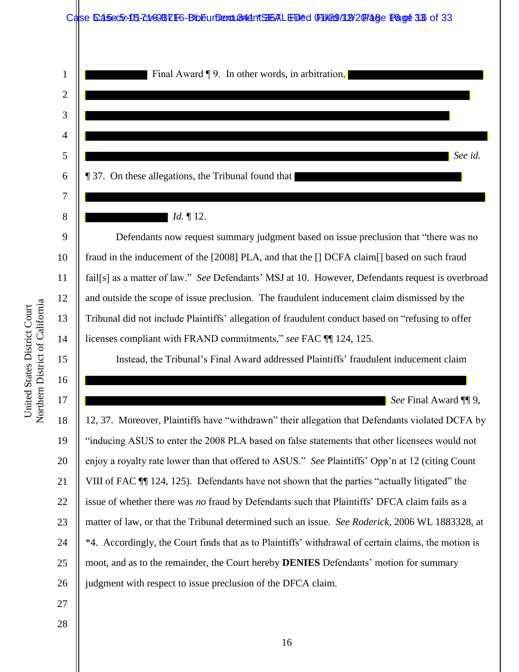

Northern District of California Northern District of California United States District Court United States District Court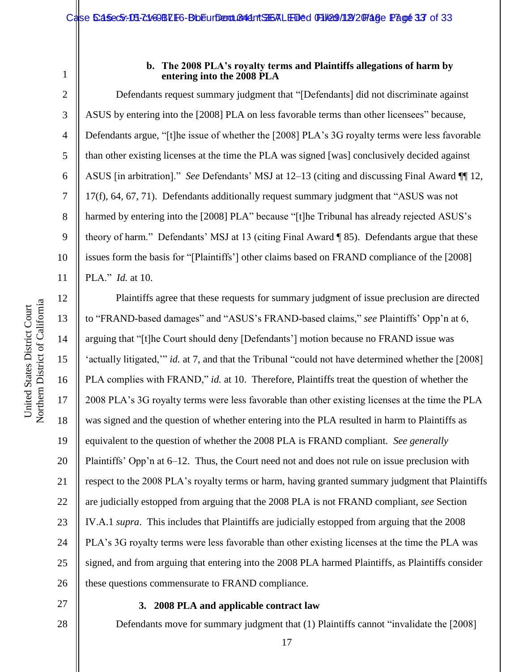3

4

5

6

7

8

9

10

#### **b. The 2008 PLA's royalty terms and Plaintiffs allegations of harm by entering into the 2008 PLA**

Defendants request summary judgment that "[Defendants] did not discriminate against ASUS by entering into the [2008] PLA on less favorable terms than other licensees" because, Defendants argue, "[t]he issue of whether the [2008] PLA's 3G royalty terms were less favorable than other existing licenses at the time the PLA was signed [was] conclusively decided against ASUS [in arbitration]." *See* Defendants' MSJ at 12–13 (citing and discussing Final Award ¶¶ 12, 17(f), 64, 67, 71). Defendants additionally request summary judgment that "ASUS was not harmed by entering into the [2008] PLA" because "[t]he Tribunal has already rejected ASUS's theory of harm." Defendants' MSJ at 13 (citing Final Award ¶ 85). Defendants argue that these issues form the basis for "[Plaintiffs'] other claims based on FRAND compliance of the [2008] PLA." *Id.* at 10.

Northern District of California Northern District of California United States District Court United States District Court

11 12 13 14 15 16 17 18 19 20 21 22 23 24 25 26 Plaintiffs agree that these requests for summary judgment of issue preclusion are directed to "FRAND-based damages" and "ASUS's FRAND-based claims," *see* Plaintiffs' Opp'n at 6, arguing that "[t]he Court should deny [Defendants'] motion because no FRAND issue was 'actually litigated,'" *id.* at 7, and that the Tribunal "could not have determined whether the [2008] PLA complies with FRAND," *id.* at 10. Therefore, Plaintiffs treat the question of whether the 2008 PLA's 3G royalty terms were less favorable than other existing licenses at the time the PLA was signed and the question of whether entering into the PLA resulted in harm to Plaintiffs as equivalent to the question of whether the 2008 PLA is FRAND compliant. *See generally* Plaintiffs' Opp'n at 6–12. Thus, the Court need not and does not rule on issue preclusion with respect to the 2008 PLA's royalty terms or harm, having granted summary judgment that Plaintiffs are judicially estopped from arguing that the 2008 PLA is not FRAND compliant, *see* Section IV.A.1 *supra*. This includes that Plaintiffs are judicially estopped from arguing that the 2008 PLA's 3G royalty terms were less favorable than other existing licenses at the time the PLA was signed, and from arguing that entering into the 2008 PLA harmed Plaintiffs, as Plaintiffs consider these questions commensurate to FRAND compliance.

27

28

## **3. 2008 PLA and applicable contract law**

Defendants move for summary judgment that (1) Plaintiffs cannot "invalidate the [2008]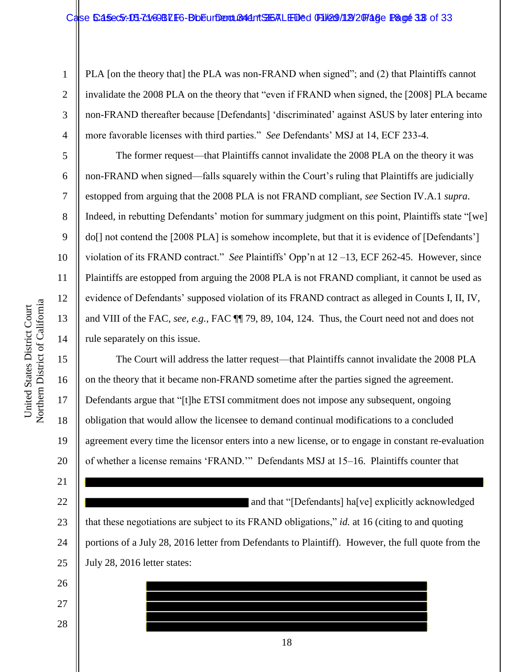PLA [on the theory that] the PLA was non-FRAND when signed"; and (2) that Plaintiffs cannot invalidate the 2008 PLA on the theory that "even if FRAND when signed, the [2008] PLA became non-FRAND thereafter because [Defendants] 'discriminated' against ASUS by later entering into more favorable licenses with third parties." *See* Defendants' MSJ at 14, ECF 233-4.

The former request—that Plaintiffs cannot invalidate the 2008 PLA on the theory it was non-FRAND when signed—falls squarely within the Court's ruling that Plaintiffs are judicially estopped from arguing that the 2008 PLA is not FRAND compliant, *see* Section IV.A.1 *supra*. Indeed, in rebutting Defendants' motion for summary judgment on this point, Plaintiffs state "[we] do[] not contend the [2008 PLA] is somehow incomplete, but that it is evidence of [Defendants'] violation of its FRAND contract." *See* Plaintiffs' Opp'n at 12 –13, ECF 262-45. However, since Plaintiffs are estopped from arguing the 2008 PLA is not FRAND compliant, it cannot be used as evidence of Defendants' supposed violation of its FRAND contract as alleged in Counts I, II, IV, and VIII of the FAC, *see, e.g.*, FAC ¶¶ 79, 89, 104, 124. Thus, the Court need not and does not rule separately on this issue.

The Court will address the latter request—that Plaintiffs cannot invalidate the 2008 PLA on the theory that it became non-FRAND sometime after the parties signed the agreement. Defendants argue that "[t]he ETSI commitment does not impose any subsequent, ongoing obligation that would allow the licensee to demand continual modifications to a concluded agreement every time the licensor enters into a new license, or to engage in constant re-evaluation of whether a license remains 'FRAND.'" Defendants MSJ at 15–16. Plaintiffs counter that

22 23 24 25 and that "[Defendants] ha[ve] explicitly acknowledged that these negotiations are subject to its FRAND obligations," *id.* at 16 (citing to and quoting portions of a July 28, 2016 letter from Defendants to Plaintiff). However, the full quote from the July 28, 2016 letter states:

18

26

27

28

Northern District of California Northern District of California United States District Court United States District Court

1

2

3

4

5

6

7

8

9

10

11

12

13

14

15

16

17

18

19

20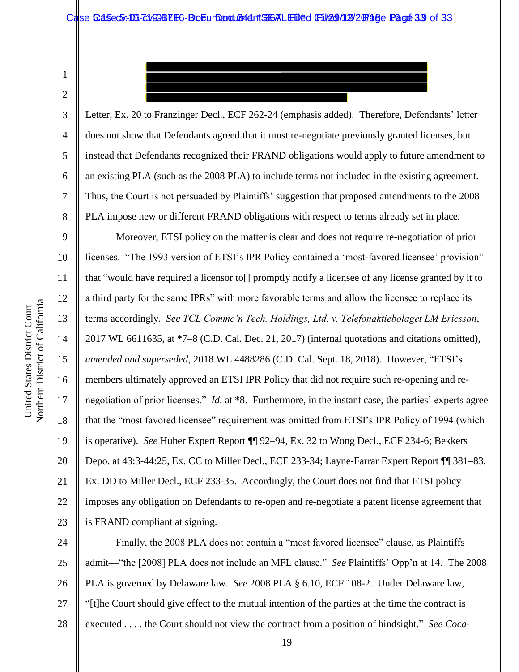1 2

3

4

5

6

7

8

Letter, Ex. 20 to Franzinger Decl., ECF 262-24 (emphasis added). Therefore, Defendants' letter does not show that Defendants agreed that it must re-negotiate previously granted licenses, but instead that Defendants recognized their FRAND obligations would apply to future amendment to an existing PLA (such as the 2008 PLA) to include terms not included in the existing agreement. Thus, the Court is not persuaded by Plaintiffs' suggestion that proposed amendments to the 2008 PLA impose new or different FRAND obligations with respect to terms already set in place.

9 10 11 12 13 14 15 16 17 18 19 20 21 22 23 Moreover, ETSI policy on the matter is clear and does not require re-negotiation of prior licenses. "The 1993 version of ETSI's IPR Policy contained a 'most-favored licensee' provision" that "would have required a licensor to[] promptly notify a licensee of any license granted by it to a third party for the same IPRs" with more favorable terms and allow the licensee to replace its terms accordingly. *See TCL Commc'n Tech. Holdings, Ltd. v. Telefonaktiebolaget LM Ericsson*, 2017 WL 6611635, at \*7–8 (C.D. Cal. Dec. 21, 2017) (internal quotations and citations omitted), *amended and superseded*, 2018 WL 4488286 (C.D. Cal. Sept. 18, 2018). However, "ETSI's members ultimately approved an ETSI IPR Policy that did not require such re-opening and renegotiation of prior licenses." *Id.* at \*8. Furthermore, in the instant case, the parties' experts agree that the "most favored licensee" requirement was omitted from ETSI's IPR Policy of 1994 (which is operative). *See* Huber Expert Report ¶¶ 92–94, Ex. 32 to Wong Decl., ECF 234-6; Bekkers Depo. at 43:3-44:25, Ex. CC to Miller Decl., ECF 233-34; Layne-Farrar Expert Report ¶¶ 381–83, Ex. DD to Miller Decl., ECF 233-35. Accordingly, the Court does not find that ETSI policy imposes any obligation on Defendants to re-open and re-negotiate a patent license agreement that is FRAND compliant at signing.

24 25 26 27 28 Finally, the 2008 PLA does not contain a "most favored licensee" clause, as Plaintiffs admit—"the [2008] PLA does not include an MFL clause." *See* Plaintiffs' Opp'n at 14. The 2008 PLA is governed by Delaware law. *See* 2008 PLA § 6.10, ECF 108-2. Under Delaware law, "[t]he Court should give effect to the mutual intention of the parties at the time the contract is executed . . . . the Court should not view the contract from a position of hindsight." *See Coca-*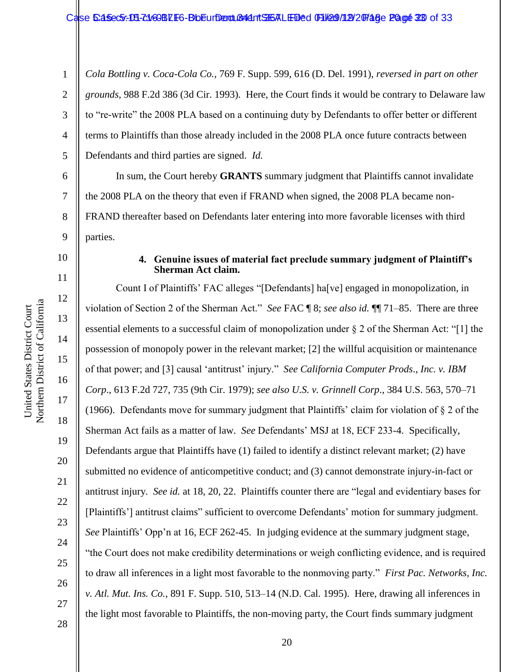1 2 3 4 5 *Cola Bottling v. Coca-Cola Co.*, 769 F. Supp. 599, 616 (D. Del. 1991), *reversed in part on other grounds*, 988 F.2d 386 (3d Cir. 1993). Here, the Court finds it would be contrary to Delaware law to "re-write" the 2008 PLA based on a continuing duty by Defendants to offer better or different terms to Plaintiffs than those already included in the 2008 PLA once future contracts between Defendants and third parties are signed. *Id.*

6 7 In sum, the Court hereby **GRANTS** summary judgment that Plaintiffs cannot invalidate the 2008 PLA on the theory that even if FRAND when signed, the 2008 PLA became non-FRAND thereafter based on Defendants later entering into more favorable licenses with third parties.

#### **4. Genuine issues of material fact preclude summary judgment of Plaintiff's Sherman Act claim.**

Count I of Plaintiffs' FAC alleges "[Defendants] ha[ve] engaged in monopolization, in violation of Section 2 of the Sherman Act." *See* FAC ¶ 8; *see also id.* ¶¶ 71–85. There are three essential elements to a successful claim of monopolization under § 2 of the Sherman Act: "[1] the possession of monopoly power in the relevant market; [2] the willful acquisition or maintenance of that power; and [3] causal 'antitrust' injury." *See California Computer Prods*., *Inc. v. IBM Corp*., 613 F.2d 727, 735 (9th Cir. 1979); *see also U.S. v. Grinnell Corp*., 384 U.S. 563, 570–71 (1966). Defendants move for summary judgment that Plaintiffs' claim for violation of § 2 of the Sherman Act fails as a matter of law. *See* Defendants' MSJ at 18, ECF 233-4. Specifically, Defendants argue that Plaintiffs have (1) failed to identify a distinct relevant market; (2) have submitted no evidence of anticompetitive conduct; and (3) cannot demonstrate injury-in-fact or antitrust injury. *See id.* at 18, 20, 22. Plaintiffs counter there are "legal and evidentiary bases for [Plaintiffs'] antitrust claims" sufficient to overcome Defendants' motion for summary judgment. *See* Plaintiffs' Opp'n at 16, ECF 262-45. In judging evidence at the summary judgment stage, "the Court does not make credibility determinations or weigh conflicting evidence, and is required to draw all inferences in a light most favorable to the nonmoving party." *First Pac. Networks, Inc. v. Atl. Mut. Ins. Co.*, 891 F. Supp. 510, 513–14 (N.D. Cal. 1995). Here, drawing all inferences in the light most favorable to Plaintiffs, the non-moving party, the Court finds summary judgment

8

9

10

11

12

13

14

15

16

17

18

19

20

21

22

23

24

25

26

27

28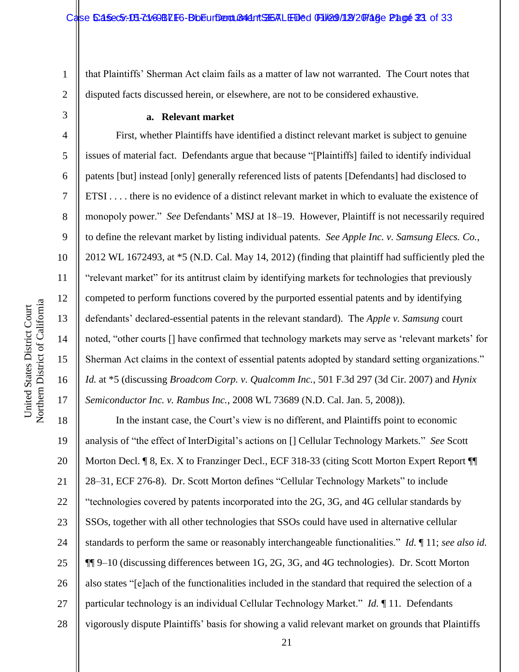1 2 that Plaintiffs' Sherman Act claim fails as a matter of law not warranted. The Court notes that disputed facts discussed herein, or elsewhere, are not to be considered exhaustive.

#### **a. Relevant market**

First, whether Plaintiffs have identified a distinct relevant market is subject to genuine issues of material fact. Defendants argue that because "[Plaintiffs] failed to identify individual patents [but] instead [only] generally referenced lists of patents [Defendants] had disclosed to ETSI . . . . there is no evidence of a distinct relevant market in which to evaluate the existence of monopoly power." *See* Defendants' MSJ at 18–19. However, Plaintiff is not necessarily required to define the relevant market by listing individual patents. *See Apple Inc. v. Samsung Elecs. Co.*, 2012 WL 1672493, at \*5 (N.D. Cal. May 14, 2012) (finding that plaintiff had sufficiently pled the "relevant market" for its antitrust claim by identifying markets for technologies that previously competed to perform functions covered by the purported essential patents and by identifying defendants' declared-essential patents in the relevant standard). The *Apple v. Samsung* court noted, "other courts [] have confirmed that technology markets may serve as 'relevant markets' for Sherman Act claims in the context of essential patents adopted by standard setting organizations." *Id.* at \*5 (discussing *Broadcom Corp. v. Qualcomm Inc.*, 501 F.3d 297 (3d Cir. 2007) and *Hynix Semiconductor Inc. v. Rambus Inc.*, 2008 WL 73689 (N.D. Cal. Jan. 5, 2008)).

18 19 20 21 22 23 24 25 26 27 28 In the instant case, the Court's view is no different, and Plaintiffs point to economic analysis of "the effect of InterDigital's actions on [] Cellular Technology Markets." *See* Scott Morton Decl. ¶ 8, Ex. X to Franzinger Decl., ECF 318-33 (citing Scott Morton Expert Report ¶ 28–31, ECF 276-8). Dr. Scott Morton defines "Cellular Technology Markets" to include "technologies covered by patents incorporated into the 2G, 3G, and 4G cellular standards by SSOs, together with all other technologies that SSOs could have used in alternative cellular standards to perform the same or reasonably interchangeable functionalities." *Id.* ¶ 11; *see also id.* ¶¶ 9–10 (discussing differences between 1G, 2G, 3G, and 4G technologies). Dr. Scott Morton also states "[e]ach of the functionalities included in the standard that required the selection of a particular technology is an individual Cellular Technology Market." *Id.* ¶ 11. Defendants vigorously dispute Plaintiffs' basis for showing a valid relevant market on grounds that Plaintiffs

3

4

5

6

7

8

9

10

11

12

13

14

15

16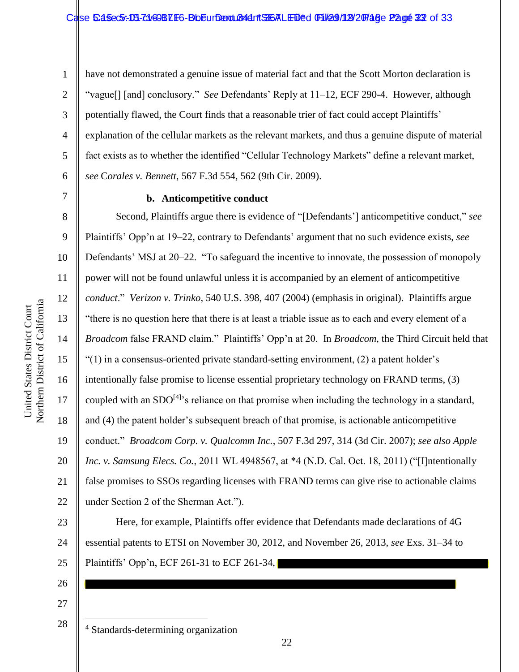Northern District of California Northern District of California United States District Court United States District Court

7

1 2 3 4 5 6 have not demonstrated a genuine issue of material fact and that the Scott Morton declaration is "vague[] [and] conclusory." *See* Defendants' Reply at 11–12, ECF 290-4. However, although potentially flawed, the Court finds that a reasonable trier of fact could accept Plaintiffs' explanation of the cellular markets as the relevant markets, and thus a genuine dispute of material fact exists as to whether the identified "Cellular Technology Markets" define a relevant market, *see* C*orales v. Bennett*, 567 F.3d 554, 562 (9th Cir. 2009).

#### **b. Anticompetitive conduct**

8 9 10 11 12 13 14 15 16 17 18 19 20 21 22 Second, Plaintiffs argue there is evidence of "[Defendants'] anticompetitive conduct," *see* Plaintiffs' Opp'n at 19–22, contrary to Defendants' argument that no such evidence exists, *see*  Defendants' MSJ at 20–22. "To safeguard the incentive to innovate, the possession of monopoly power will not be found unlawful unless it is accompanied by an element of anticompetitive *conduct*." *Verizon v. Trinko*, 540 U.S. 398, 407 (2004) (emphasis in original). Plaintiffs argue "there is no question here that there is at least a triable issue as to each and every element of a *Broadcom* false FRAND claim." Plaintiffs' Opp'n at 20. In *Broadcom*, the Third Circuit held that "(1) in a consensus-oriented private standard-setting environment, (2) a patent holder's intentionally false promise to license essential proprietary technology on FRAND terms, (3) coupled with an  $SDO^{[4]}$ 's reliance on that promise when including the technology in a standard, and (4) the patent holder's subsequent breach of that promise, is actionable anticompetitive conduct." *Broadcom Corp. v. Qualcomm Inc.*, 507 F.3d 297, 314 (3d Cir. 2007); *see also Apple Inc. v. Samsung Elecs. Co.*, 2011 WL 4948567, at \*4 (N.D. Cal. Oct. 18, 2011) ("[I]ntentionally false promises to SSOs regarding licenses with FRAND terms can give rise to actionable claims under Section 2 of the Sherman Act.").

23 24 25 Here, for example, Plaintiffs offer evidence that Defendants made declarations of 4G essential patents to ETSI on November 30, 2012, and November 26, 2013, *see* Exs. 31–34 to Plaintiffs' Opp'n, ECF 261-31 to ECF 261-34,

26 27

28

 $\overline{a}$ 

<sup>4</sup> Standards-determining organization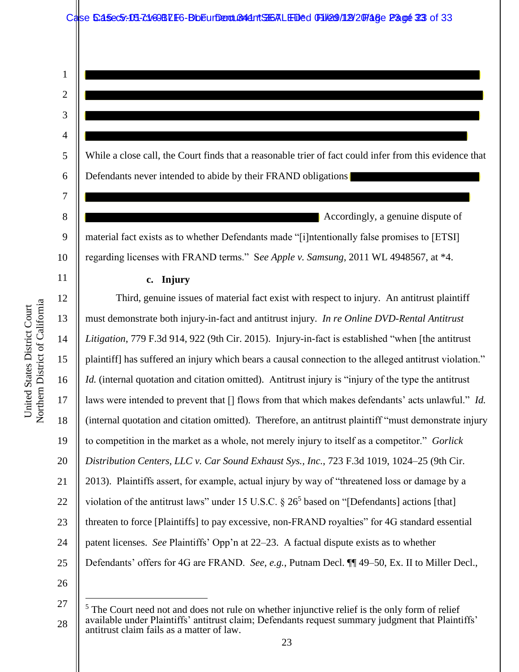| ۱. |
|----|
| ۲, |

4

5

6

7

11

12

13

14

15

16

17

18

19

20

21

22

23

24

25

1

While a close call, the Court finds that a reasonable trier of fact could infer from this evidence that Defendants never intended to abide by their FRAND obligations

8 9 10 Accordingly, a genuine dispute of material fact exists as to whether Defendants made "[i]ntentionally false promises to [ETSI] regarding licenses with FRAND terms." S*ee Apple v. Samsung*, 2011 WL 4948567, at \*4.

## **c. Injury**

Third, genuine issues of material fact exist with respect to injury. An antitrust plaintiff must demonstrate both injury-in-fact and antitrust injury. *In re Online DVD-Rental Antitrust Litigation*, 779 F.3d 914, 922 (9th Cir. 2015). Injury-in-fact is established "when [the antitrust plaintiff] has suffered an injury which bears a causal connection to the alleged antitrust violation." *Id.* (internal quotation and citation omitted). Antitrust injury is "injury of the type the antitrust laws were intended to prevent that [] flows from that which makes defendants' acts unlawful." *Id.* (internal quotation and citation omitted). Therefore, an antitrust plaintiff "must demonstrate injury to competition in the market as a whole, not merely injury to itself as a competitor." *Gorlick Distribution Centers, LLC v. Car Sound Exhaust Sys., Inc.*, 723 F.3d 1019, 1024–25 (9th Cir. 2013). Plaintiffs assert, for example, actual injury by way of "threatened loss or damage by a violation of the antitrust laws" under 15 U.S.C.  $\S 26^5$  based on "[Defendants] actions [that] threaten to force [Plaintiffs] to pay excessive, non-FRAND royalties" for 4G standard essential patent licenses. *See* Plaintiffs' Opp'n at 22–23. A factual dispute exists as to whether Defendants' offers for 4G are FRAND. *See, e.g.*, Putnam Decl. ¶¶ 49–50, Ex. II to Miller Decl.,

26 27

 $\overline{a}$ 

<sup>28</sup>  $<sup>5</sup>$  The Court need not and does not rule on whether injunctive relief is the only form of relief</sup> available under Plaintiffs' antitrust claim; Defendants request summary judgment that Plaintiffs' antitrust claim fails as a matter of law.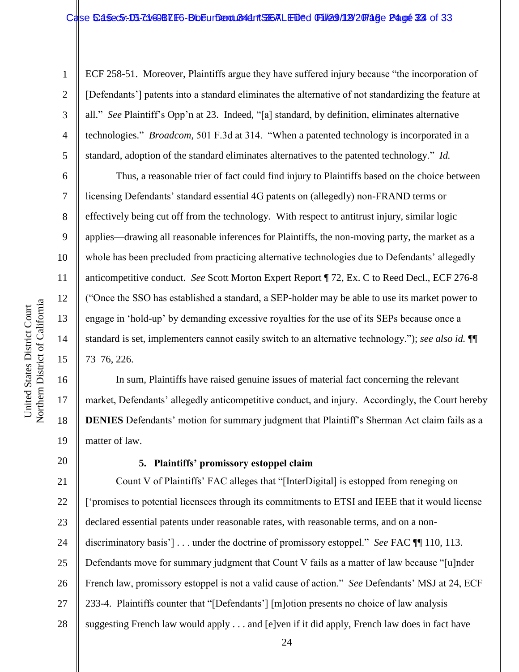ECF 258-51. Moreover, Plaintiffs argue they have suffered injury because "the incorporation of [Defendants'] patents into a standard eliminates the alternative of not standardizing the feature at all." *See* Plaintiff's Opp'n at 23. Indeed, "[a] standard, by definition, eliminates alternative technologies." *Broadcom*, 501 F.3d at 314. "When a patented technology is incorporated in a standard, adoption of the standard eliminates alternatives to the patented technology." *Id.*

Thus, a reasonable trier of fact could find injury to Plaintiffs based on the choice between licensing Defendants' standard essential 4G patents on (allegedly) non-FRAND terms or effectively being cut off from the technology. With respect to antitrust injury, similar logic applies—drawing all reasonable inferences for Plaintiffs, the non-moving party, the market as a whole has been precluded from practicing alternative technologies due to Defendants' allegedly anticompetitive conduct. *See* Scott Morton Expert Report ¶ 72, Ex. C to Reed Decl., ECF 276-8 ("Once the SSO has established a standard, a SEP-holder may be able to use its market power to engage in 'hold-up' by demanding excessive royalties for the use of its SEPs because once a standard is set, implementers cannot easily switch to an alternative technology."); *see also id.* ¶¶ 73–76, 226.

In sum, Plaintiffs have raised genuine issues of material fact concerning the relevant market, Defendants' allegedly anticompetitive conduct, and injury. Accordingly, the Court hereby **DENIES** Defendants' motion for summary judgment that Plaintiff's Sherman Act claim fails as a matter of law.

## **5. Plaintiffs' promissory estoppel claim**

21 22 23 24 25 26 27 28 Count V of Plaintiffs' FAC alleges that "[InterDigital] is estopped from reneging on ['promises to potential licensees through its commitments to ETSI and IEEE that it would license declared essential patents under reasonable rates, with reasonable terms, and on a nondiscriminatory basis'] . . . under the doctrine of promissory estoppel." *See* FAC  $\P$  110, 113. Defendants move for summary judgment that Count V fails as a matter of law because "[u]nder French law, promissory estoppel is not a valid cause of action." *See* Defendants' MSJ at 24, ECF 233-4. Plaintiffs counter that "[Defendants'] [m]otion presents no choice of law analysis suggesting French law would apply . . . and [e]ven if it did apply, French law does in fact have

1

2

3

4

5

6

7

8

9

10

11

12

13

14

15

16

17

18

19

20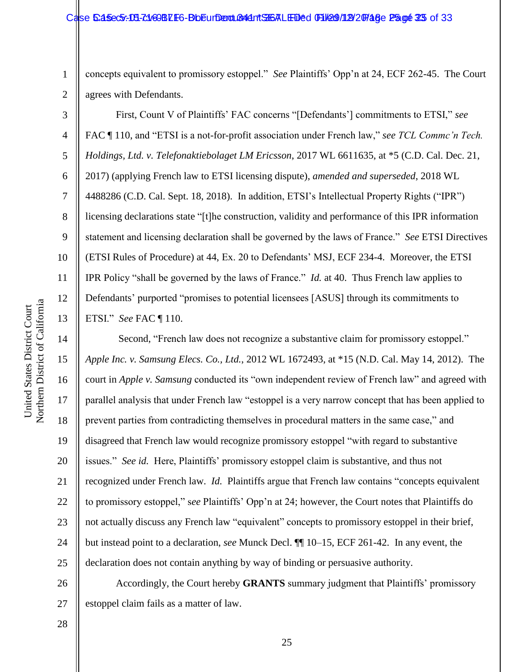concepts equivalent to promissory estoppel." *See* Plaintiffs' Opp'n at 24, ECF 262-45. The Court agrees with Defendants.

First, Count V of Plaintiffs' FAC concerns "[Defendants'] commitments to ETSI," *see* FAC ¶ 110, and "ETSI is a not-for-profit association under French law," *see TCL Commc'n Tech. Holdings, Ltd. v. Telefonaktiebolaget LM Ericsson*, 2017 WL 6611635, at \*5 (C.D. Cal. Dec. 21, 2017) (applying French law to ETSI licensing dispute), *amended and superseded*, 2018 WL 4488286 (C.D. Cal. Sept. 18, 2018). In addition, ETSI's Intellectual Property Rights ("IPR") licensing declarations state "[t]he construction, validity and performance of this IPR information statement and licensing declaration shall be governed by the laws of France." *See* ETSI Directives (ETSI Rules of Procedure) at 44, Ex. 20 to Defendants' MSJ, ECF 234-4. Moreover, the ETSI IPR Policy "shall be governed by the laws of France." *Id.* at 40. Thus French law applies to Defendants' purported "promises to potential licensees [ASUS] through its commitments to ETSI." *See* FAC ¶ 110.

16 Second, "French law does not recognize a substantive claim for promissory estoppel." *Apple Inc. v. Samsung Elecs. Co., Ltd.*, 2012 WL 1672493, at \*15 (N.D. Cal. May 14, 2012). The court in *Apple v. Samsung* conducted its "own independent review of French law" and agreed with parallel analysis that under French law "estoppel is a very narrow concept that has been applied to prevent parties from contradicting themselves in procedural matters in the same case," and disagreed that French law would recognize promissory estoppel "with regard to substantive issues." *See id.* Here, Plaintiffs' promissory estoppel claim is substantive, and thus not recognized under French law. *Id.* Plaintiffs argue that French law contains "concepts equivalent to promissory estoppel," s*ee* Plaintiffs' Opp'n at 24; however, the Court notes that Plaintiffs do not actually discuss any French law "equivalent" concepts to promissory estoppel in their brief, but instead point to a declaration, *see* Munck Decl. ¶¶ 10–15, ECF 261-42. In any event, the declaration does not contain anything by way of binding or persuasive authority.

26 27 Accordingly, the Court hereby **GRANTS** summary judgment that Plaintiffs' promissory estoppel claim fails as a matter of law.

1

2

3

4

5

6

7

8

9

10

11

12

13

14

15

17

18

19

20

21

22

23

24

25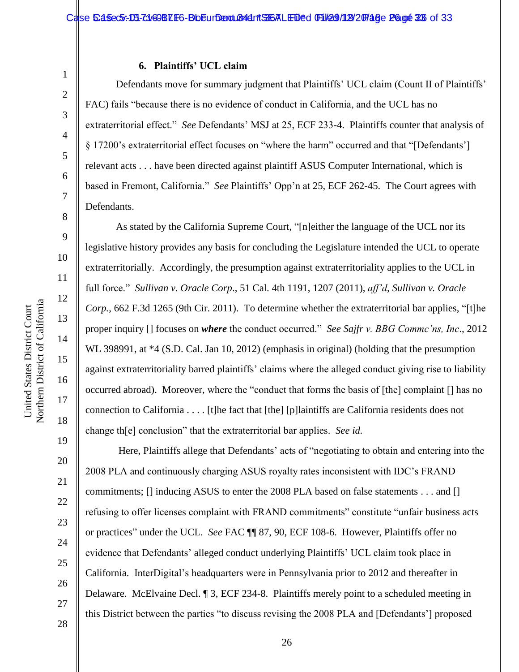# Northern District of California Northern District of California United States District Court

1

2

3

4

5

6

7

8

9

10

11

12

13

14

15

United States District Court

16

17

18

27

28

#### **6. Plaintiffs' UCL claim**

Defendants move for summary judgment that Plaintiffs' UCL claim (Count II of Plaintiffs' FAC) fails "because there is no evidence of conduct in California, and the UCL has no extraterritorial effect." *See* Defendants' MSJ at 25, ECF 233-4. Plaintiffs counter that analysis of § 17200's extraterritorial effect focuses on "where the harm" occurred and that "[Defendants'] relevant acts . . . have been directed against plaintiff ASUS Computer International, which is based in Fremont, California." *See* Plaintiffs' Opp'n at 25, ECF 262-45. The Court agrees with Defendants.

As stated by the California Supreme Court, "[n]either the language of the UCL nor its legislative history provides any basis for concluding the Legislature intended the UCL to operate extraterritorially. Accordingly, the presumption against extraterritoriality applies to the UCL in full force." *Sullivan v. Oracle Corp*., 51 Cal. 4th 1191, 1207 (2011), *aff'd*, *Sullivan v. Oracle Corp.*, 662 F.3d 1265 (9th Cir. 2011). To determine whether the extraterritorial bar applies, "[t]he proper inquiry [] focuses on *where* the conduct occurred." *See Sajfr v. BBG Commc'ns, Inc*., 2012 WL 398991, at \*4 (S.D. Cal. Jan 10, 2012) (emphasis in original) (holding that the presumption against extraterritoriality barred plaintiffs' claims where the alleged conduct giving rise to liability occurred abroad). Moreover, where the "conduct that forms the basis of [the] complaint [] has no connection to California . . . . [t]he fact that [the] [p]laintiffs are California residents does not change th[e] conclusion" that the extraterritorial bar applies. *See id.*

Here, Plaintiffs allege that Defendants' acts of "negotiating to obtain and entering into the 2008 PLA and continuously charging ASUS royalty rates inconsistent with IDC's FRAND commitments; [] inducing ASUS to enter the 2008 PLA based on false statements . . . and [] refusing to offer licenses complaint with FRAND commitments" constitute "unfair business acts or practices" under the UCL. *See* FAC ¶¶ 87, 90, ECF 108-6. However, Plaintiffs offer no evidence that Defendants' alleged conduct underlying Plaintiffs' UCL claim took place in California. InterDigital's headquarters were in Pennsylvania prior to 2012 and thereafter in Delaware. McElvaine Decl. ¶ 3, ECF 234-8. Plaintiffs merely point to a scheduled meeting in this District between the parties "to discuss revising the 2008 PLA and [Defendants'] proposed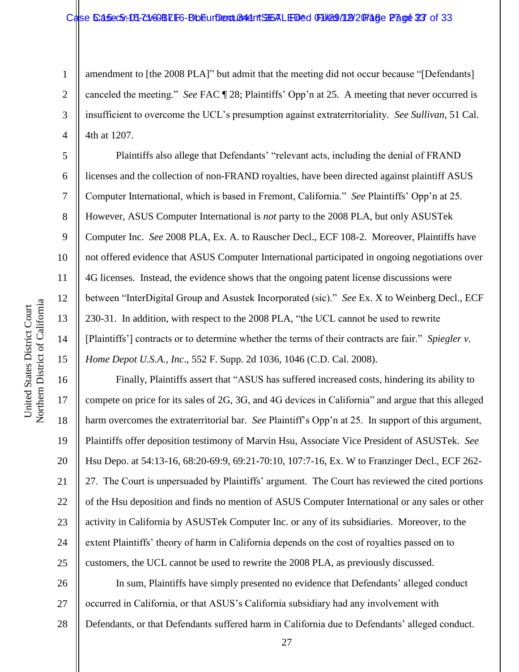#### Case 5:45ec5:-08-71469BLF6-BbEurDend Condent SHSALED ed 01/209/12/20748e Page 23 of 33

1 2 3 4 amendment to [the 2008 PLA]" but admit that the meeting did not occur because "[Defendants] canceled the meeting." *See* FAC ¶ 28; Plaintiffs' Opp'n at 25. A meeting that never occurred is insufficient to overcome the UCL's presumption against extraterritoriality. *See Sullivan*, 51 Cal. 4th at 1207.

Plaintiffs also allege that Defendants' "relevant acts, including the denial of FRAND licenses and the collection of non-FRAND royalties, have been directed against plaintiff ASUS Computer International, which is based in Fremont, California." *See* Plaintiffs' Opp'n at 25. However, ASUS Computer International is *not* party to the 2008 PLA, but only ASUSTek Computer Inc. *See* 2008 PLA, Ex. A. to Rauscher Decl., ECF 108-2. Moreover, Plaintiffs have not offered evidence that ASUS Computer International participated in ongoing negotiations over 4G licenses. Instead, the evidence shows that the ongoing patent license discussions were between "InterDigital Group and Asustek Incorporated (sic)." *See* Ex. X to Weinberg Decl., ECF 230-31. In addition, with respect to the 2008 PLA, "the UCL cannot be used to rewrite [Plaintiffs'] contracts or to determine whether the terms of their contracts are fair." *Spiegler v. Home Depot U.S.A., Inc*., 552 F. Supp. 2d 1036, 1046 (C.D. Cal. 2008).

16 20 22 23 24 Finally, Plaintiffs assert that "ASUS has suffered increased costs, hindering its ability to compete on price for its sales of 2G, 3G, and 4G devices in California" and argue that this alleged harm overcomes the extraterritorial bar. *See* Plaintiff's Opp'n at 25. In support of this argument, Plaintiffs offer deposition testimony of Marvin Hsu, Associate Vice President of ASUSTek. *See*  Hsu Depo. at 54:13-16, 68:20-69:9, 69:21-70:10, 107:7-16, Ex. W to Franzinger Decl., ECF 262- 27. The Court is unpersuaded by Plaintiffs' argument. The Court has reviewed the cited portions of the Hsu deposition and finds no mention of ASUS Computer International or any sales or other activity in California by ASUSTek Computer Inc. or any of its subsidiaries. Moreover, to the extent Plaintiffs' theory of harm in California depends on the cost of royalties passed on to customers, the UCL cannot be used to rewrite the 2008 PLA, as previously discussed.

26 27 28 In sum, Plaintiffs have simply presented no evidence that Defendants' alleged conduct occurred in California, or that ASUS's California subsidiary had any involvement with Defendants, or that Defendants suffered harm in California due to Defendants' alleged conduct.

5

6

7

8

9

10

11

12

13

14

15

17

18

19

21

25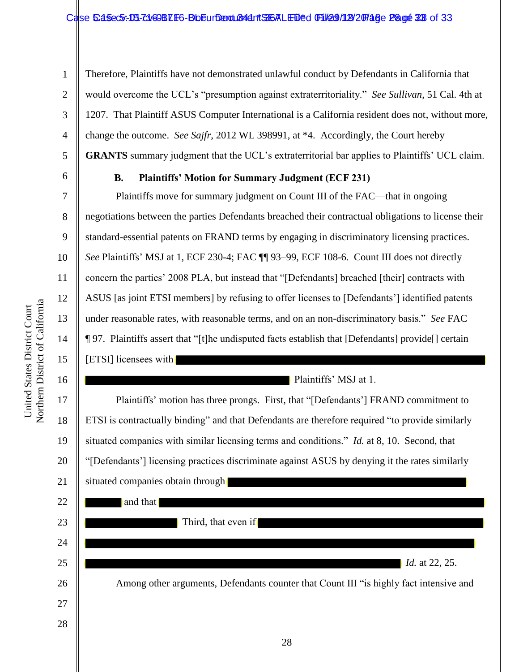4 5 Therefore, Plaintiffs have not demonstrated unlawful conduct by Defendants in California that would overcome the UCL's "presumption against extraterritoriality." *See Sullivan*, 51 Cal. 4th at 1207. That Plaintiff ASUS Computer International is a California resident does not, without more, change the outcome. *See Sajfr*, 2012 WL 398991, at \*4. Accordingly, the Court hereby **GRANTS** summary judgment that the UCL's extraterritorial bar applies to Plaintiffs' UCL claim.

6

7

8

9

10

11

12

13

14

15

16

17

18

19

20

21

1

2

3

# **B. Plaintiffs' Motion for Summary Judgment (ECF 231)**

Plaintiffs move for summary judgment on Count III of the FAC—that in ongoing negotiations between the parties Defendants breached their contractual obligations to license their standard-essential patents on FRAND terms by engaging in discriminatory licensing practices. *See* Plaintiffs' MSJ at 1, ECF 230-4; FAC ¶¶ 93–99, ECF 108-6. Count III does not directly concern the parties' 2008 PLA, but instead that "[Defendants] breached [their] contracts with ASUS [as joint ETSI members] by refusing to offer licenses to [Defendants'] identified patents under reasonable rates, with reasonable terms, and on an non-discriminatory basis." *See* FAC ¶ 97. Plaintiffs assert that "[t]he undisputed facts establish that [Defendants] provide[] certain [ETSI] licensees with

Plaintiffs' MSJ at 1.

Plaintiffs' motion has three prongs. First, that "[Defendants'] FRAND commitment to ETSI is contractually binding" and that Defendants are therefore required "to provide similarly situated companies with similar licensing terms and conditions." *Id.* at 8, 10. Second, that "[Defendants'] licensing practices discriminate against ASUS by denying it the rates similarly situated companies obtain through

| 22 | and that                                                                               |
|----|----------------------------------------------------------------------------------------|
| 23 | Third, that even if                                                                    |
| 24 |                                                                                        |
| 25 | <i>Id.</i> at 22, 25.                                                                  |
| 26 | Among other arguments, Defendants counter that Count III "is highly fact intensive and |
| 27 |                                                                                        |
| 28 |                                                                                        |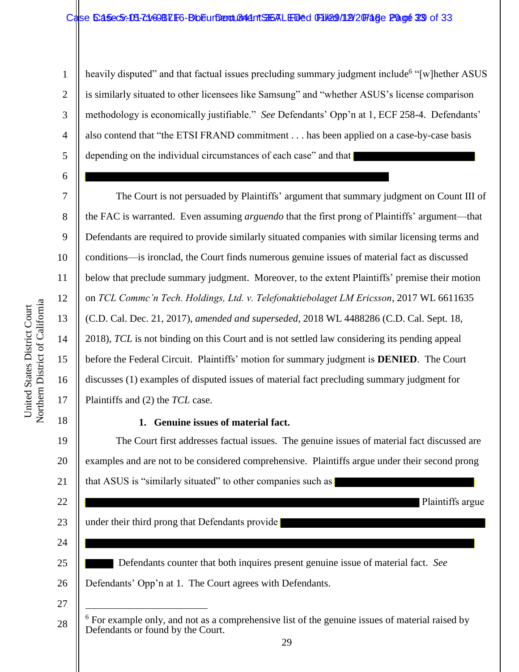## Case 5:45ec5: DB-7:160BLF6-BbEurDent Condent ST6ALEDed 01/209/129/20748e Page 23 of 33

1 2 3 4 5 heavily disputed" and that factual issues precluding summary judgment include<sup>6</sup> "[w]hether ASUS is similarly situated to other licensees like Samsung" and "whether ASUS's license comparison methodology is economically justifiable." *See* Defendants' Opp'n at 1, ECF 258-4. Defendants' also contend that "the ETSI FRAND commitment . . . has been applied on a case-by-case basis depending on the individual circumstances of each case" and that

The Court is not persuaded by Plaintiffs' argument that summary judgment on Count III of the FAC is warranted. Even assuming *arguendo* that the first prong of Plaintiffs' argument—that Defendants are required to provide similarly situated companies with similar licensing terms and conditions—is ironclad, the Court finds numerous genuine issues of material fact as discussed below that preclude summary judgment. Moreover, to the extent Plaintiffs' premise their motion on *TCL Commc'n Tech. Holdings, Ltd. v. Telefonaktiebolaget LM Ericsson*, 2017 WL 6611635 (C.D. Cal. Dec. 21, 2017), *amended and superseded*, 2018 WL 4488286 (C.D. Cal. Sept. 18, 2018), *TCL* is not binding on this Court and is not settled law considering its pending appeal before the Federal Circuit. Plaintiffs' motion for summary judgment is **DENIED**. The Court discusses (1) examples of disputed issues of material fact precluding summary judgment for Plaintiffs and (2) the *TCL* case.

# 18

6

7

8

9

10

11

12

13

14

15

16

17

22

23

24

25

26

27

28

## **1. Genuine issues of material fact.**

19 20 21 The Court first addresses factual issues. The genuine issues of material fact discussed are examples and are not to be considered comprehensive. Plaintiffs argue under their second prong that ASUS is "similarly situated" to other companies such as

 Plaintiffs argue under their third prong that Defendants provide Defendants counter that both inquires present genuine issue of material fact. *See* Defendants' Opp'n at 1. The Court agrees with Defendants.  $\overline{a}$  $6$  For example only, and not as a comprehensive list of the genuine issues of material raised by Defendants or found by the Court.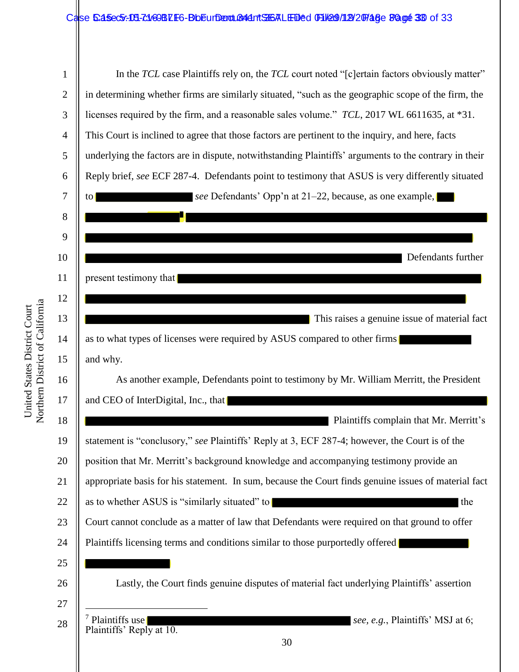## Case 5:45ec5:18-c1/69BLF6-BbEurDent Badd Tt ST6ALED&d File 9/19/2074 & Page 30 of 33

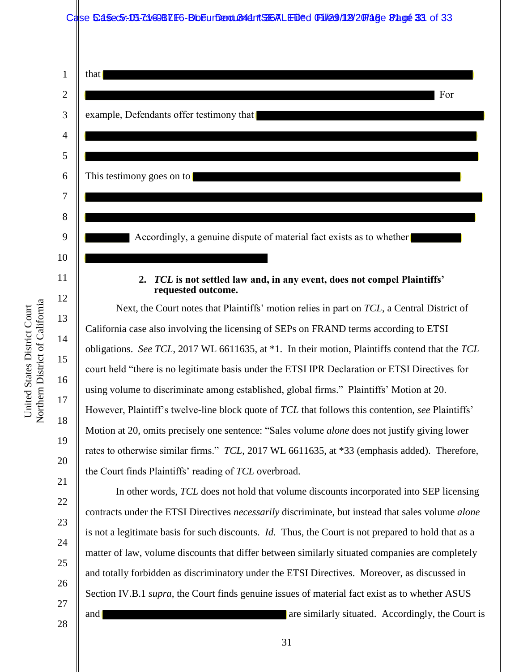## Case 5:45ec5: 04-71/69BLF6-BbEurDent Conditions LED'ed 01/29/12/20748e 82. get 33 of 33

| $\mathbf{1}$   | that                                                                                                 |
|----------------|------------------------------------------------------------------------------------------------------|
| $\overline{2}$ | For                                                                                                  |
| 3              | example, Defendants offer testimony that                                                             |
| $\overline{4}$ |                                                                                                      |
| 5              |                                                                                                      |
| 6              | This testimony goes on to                                                                            |
| 7              |                                                                                                      |
| 8              |                                                                                                      |
| 9              | Accordingly, a genuine dispute of material fact exists as to whether                                 |
| 10             |                                                                                                      |
| 11             | TCL is not settled law and, in any event, does not compel Plaintiffs'<br>2.<br>requested outcome.    |
| 12             | Next, the Court notes that Plaintiffs' motion relies in part on TCL, a Central District of           |
| 13             | California case also involving the licensing of SEPs on FRAND terms according to ETSI                |
| 14             | obligations. See TCL, 2017 WL 6611635, at *1. In their motion, Plaintiffs contend that the TCL       |
| 15             | court held "there is no legitimate basis under the ETSI IPR Declaration or ETSI Directives for       |
| 16             | using volume to discriminate among established, global firms." Plaintiffs' Motion at 20.             |
| 17             | However, Plaintiff's twelve-line block quote of TCL that follows this contention, see Plaintiffs'    |
| 18             | Motion at 20, omits precisely one sentence: "Sales volume <i>alone</i> does not justify giving lower |
| 19             | rates to otherwise similar firms." TCL, 2017 WL 6611635, at *33 (emphasis added). Therefore,         |
| 20             | the Court finds Plaintiffs' reading of TCL overbroad.                                                |

In other words, *TCL* does not hold that volume discounts incorporated into SEP licensing contracts under the ETSI Directives *necessarily* discriminate, but instead that sales volume *alone* is not a legitimate basis for such discounts. *Id.* Thus, the Court is not prepared to hold that as a matter of law, volume discounts that differ between similarly situated companies are completely and totally forbidden as discriminatory under the ETSI Directives. Moreover, as discussed in Section IV.B.1 *supra*, the Court finds genuine issues of material fact exist as to whether ASUS and are similarly situated. Accordingly, the Court is

28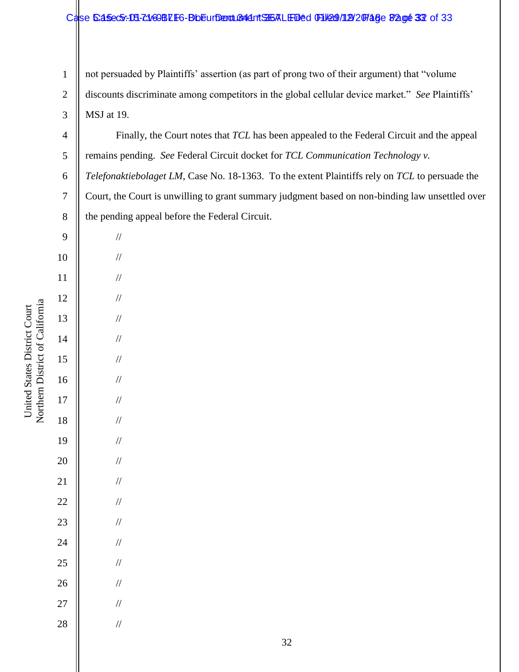## Case 5:45ec5:-04-71/69BLF6-BbEurDent BA41 TSGALED'ed File9/19/20148e 82.000 32 of 33

1 2 3 not persuaded by Plaintiffs' assertion (as part of prong two of their argument) that "volume discounts discriminate among competitors in the global cellular device market." *See* Plaintiffs' MSJ at 19.

4 5 Finally, the Court notes that *TCL* has been appealed to the Federal Circuit and the appeal remains pending. *See* Federal Circuit docket for *TCL Communication Technology v.*

6 7 8 *Telefonaktiebolaget LM*, Case No. 18-1363. To the extent Plaintiffs rely on *TCL* to persuade the Court, the Court is unwilling to grant summary judgment based on non-binding law unsettled over the pending appeal before the Federal Circuit.

| 9               |  |
|-----------------|--|
| 10              |  |
| 11              |  |
| 12              |  |
| 13              |  |
| 14              |  |
| 15              |  |
| 16              |  |
| 17              |  |
| 18              |  |
| 19              |  |
| 20              |  |
| $\overline{21}$ |  |
| 22              |  |
| 23              |  |
| 24              |  |
| 25              |  |
| 26              |  |
| 27              |  |
| 28              |  |
|                 |  |

//

//

//

//

//

//

//

//

//

//

//

//

//

//

//

//

//

//

//

//